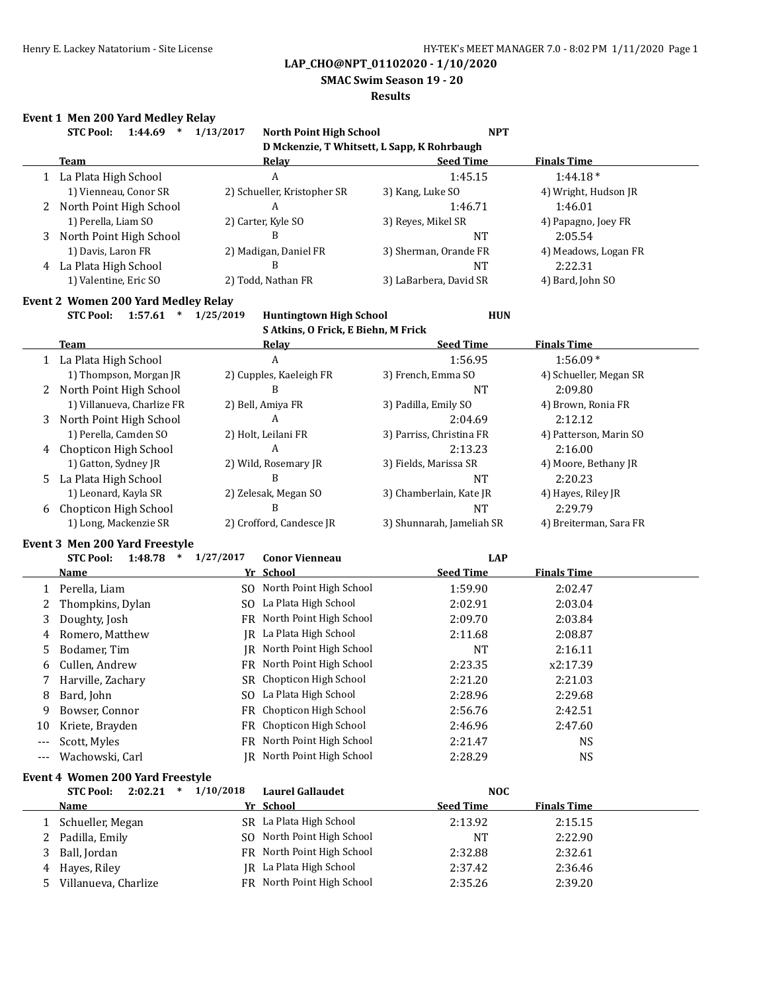**SMAC Swim Season 19 - 20**

### **Results**

# **Event 1 Men 200 Yard Medley Relay**

|              | <b>STC Pool:</b>                           | 1:44.69 *               | 1/13/2017 | North Point High School                     | <b>NPT</b>                |                        |
|--------------|--------------------------------------------|-------------------------|-----------|---------------------------------------------|---------------------------|------------------------|
|              |                                            |                         |           | D Mckenzie, T Whitsett, L Sapp, K Rohrbaugh |                           |                        |
|              | <b>Team</b>                                |                         |           | Relay                                       | <b>Seed Time</b>          | <b>Finals Time</b>     |
| $\mathbf{1}$ | La Plata High School                       |                         |           | A                                           | 1:45.15                   | $1:44.18*$             |
|              | 1) Vienneau, Conor SR                      |                         |           | 2) Schueller, Kristopher SR                 | 3) Kang, Luke SO          | 4) Wright, Hudson JR   |
| 2            | North Point High School                    |                         |           | A                                           | 1:46.71                   | 1:46.01                |
|              | 1) Perella, Liam SO                        |                         |           | 2) Carter, Kyle SO                          | 3) Reyes, Mikel SR        | 4) Papagno, Joey FR    |
| 3            | North Point High School                    |                         |           | B                                           | <b>NT</b>                 | 2:05.54                |
|              | 1) Davis, Laron FR                         |                         |           | 2) Madigan, Daniel FR                       | 3) Sherman, Orande FR     | 4) Meadows, Logan FR   |
| 4            | La Plata High School                       |                         |           | B                                           | <b>NT</b>                 | 2:22.31                |
|              | 1) Valentine, Eric SO                      |                         |           | 2) Todd, Nathan FR                          | 3) LaBarbera, David SR    | 4) Bard, John SO       |
|              | <b>Event 2 Women 200 Yard Medley Relay</b> |                         |           |                                             |                           |                        |
|              | <b>STC Pool:</b>                           | $1:57.61$ * $1/25/2019$ |           | <b>Huntingtown High School</b>              | <b>HUN</b>                |                        |
|              |                                            |                         |           | S Atkins, O Frick, E Biehn, M Frick         |                           |                        |
|              | <b>Team</b>                                |                         |           | <b>Relay</b>                                | <b>Seed Time</b>          | <b>Finals Time</b>     |
|              | 1 La Plata High School                     |                         |           | A                                           | 1:56.95                   | $1:56.09*$             |
|              | 1) Thompson, Morgan JR                     |                         |           | 2) Cupples, Kaeleigh FR                     | 3) French, Emma SO        | 4) Schueller, Megan SR |
| 2            | North Point High School                    |                         |           | <sub>B</sub>                                | <b>NT</b>                 | 2:09.80                |
|              | 1) Villanueva, Charlize FR                 |                         |           | 2) Bell, Amiya FR                           | 3) Padilla, Emily SO      | 4) Brown, Ronia FR     |
| 3            | North Point High School                    |                         |           | A                                           | 2:04.69                   | 2:12.12                |
|              | 1) Perella, Camden SO                      |                         |           | 2) Holt, Leilani FR                         | 3) Parriss, Christina FR  | 4) Patterson, Marin SO |
| 4            | Chopticon High School                      |                         |           | A                                           | 2:13.23                   | 2:16.00                |
|              | 1) Gatton, Sydney JR                       |                         |           | 2) Wild, Rosemary JR                        | 3) Fields, Marissa SR     | 4) Moore, Bethany JR   |
| 5            | La Plata High School                       |                         |           | B                                           | NT                        | 2:20.23                |
|              | 1) Leonard, Kayla SR                       |                         |           | 2) Zelesak, Megan SO                        | 3) Chamberlain, Kate JR   | 4) Hayes, Riley JR     |
| 6            | Chopticon High School                      |                         |           | B                                           | <b>NT</b>                 | 2:29.79                |
|              | 1) Long, Mackenzie SR                      |                         |           | 2) Crofford, Candesce JR                    | 3) Shunnarah, Jameliah SR | 4) Breiterman, Sara FR |
|              | Event 3 Men 200 Yard Freestyle             |                         |           |                                             |                           |                        |
|              | <b>STC Pool:</b>                           | $1:48.78$ *             | 1/27/2017 | <b>Conor Vienneau</b>                       | <b>LAP</b>                |                        |
|              | <b>Name</b>                                |                         |           | Yr School                                   | <b>Seed Time</b>          | <b>Finals Time</b>     |
| 1            | Perella, Liam                              |                         |           | SO North Point High School                  | 1:59.90                   | 2:02.47                |
| 2            | Thompkins, Dylan                           |                         |           | SO La Plata High School                     | 2:02.91                   | 2:03.04                |
| 3            | Doughty, Josh                              |                         |           | FR North Point High School                  | 2:09.70                   | 2:03.84                |
| 4            | Romero, Matthew                            |                         |           | <b>IR</b> La Plata High School              | 2:11.68                   | 2:08.87                |
| 5            | Bodamer, Tim                               |                         |           | <b>IR</b> North Point High School           | <b>NT</b>                 | 2:16.11                |
| 6            | Cullen, Andrew                             |                         |           | FR North Point High School                  | 2:23.35                   | x2:17.39               |
| 7            | Harville, Zachary                          |                         |           | SR Chopticon High School                    | 2:21.20                   | 2:21.03                |
| 8            | Bard, John                                 |                         |           | SO La Plata High School                     | 2:28.96                   | 2:29.68                |
| 9            | Bowser, Connor                             |                         |           | FR Chopticon High School                    | 2:56.76                   | 2:42.51                |
| 10           | Kriete, Brayden                            |                         |           | FR Chopticon High School                    | 2:46.96                   | 2:47.60                |
| ---          | Scott, Myles                               |                         |           | FR North Point High School                  | 2:21.47                   | <b>NS</b>              |
| ---          | Wachowski, Carl                            |                         |           | JR North Point High School                  | 2:28.29                   | <b>NS</b>              |
|              |                                            |                         |           |                                             |                           |                        |
|              | Event 4 Women 200 Yard Freestyle           |                         |           |                                             |                           |                        |
|              | <b>STC Pool:</b>                           | $2:02.21$ *             | 1/10/2018 | <b>Laurel Gallaudet</b>                     | <b>NOC</b>                |                        |
|              | <u>Name</u>                                |                         |           | Yr School                                   | <b>Seed Time</b>          | <b>Finals Time</b>     |
| 1            | Schueller, Megan                           |                         |           | SR La Plata High School                     | 2:13.92                   | 2:15.15                |
| 2            | Padilla, Emily                             |                         |           | SO North Point High School                  | NT                        | 2:22.90                |
| 3            | Ball, Jordan                               |                         |           | FR North Point High School                  | 2:32.88                   | 2:32.61                |
| 4            | Hayes, Riley                               |                         |           | JR La Plata High School                     | 2:37.42                   | 2:36.46                |
| 5            | Villanueva, Charlize                       |                         |           | FR North Point High School                  | 2:35.26                   | 2:39.20                |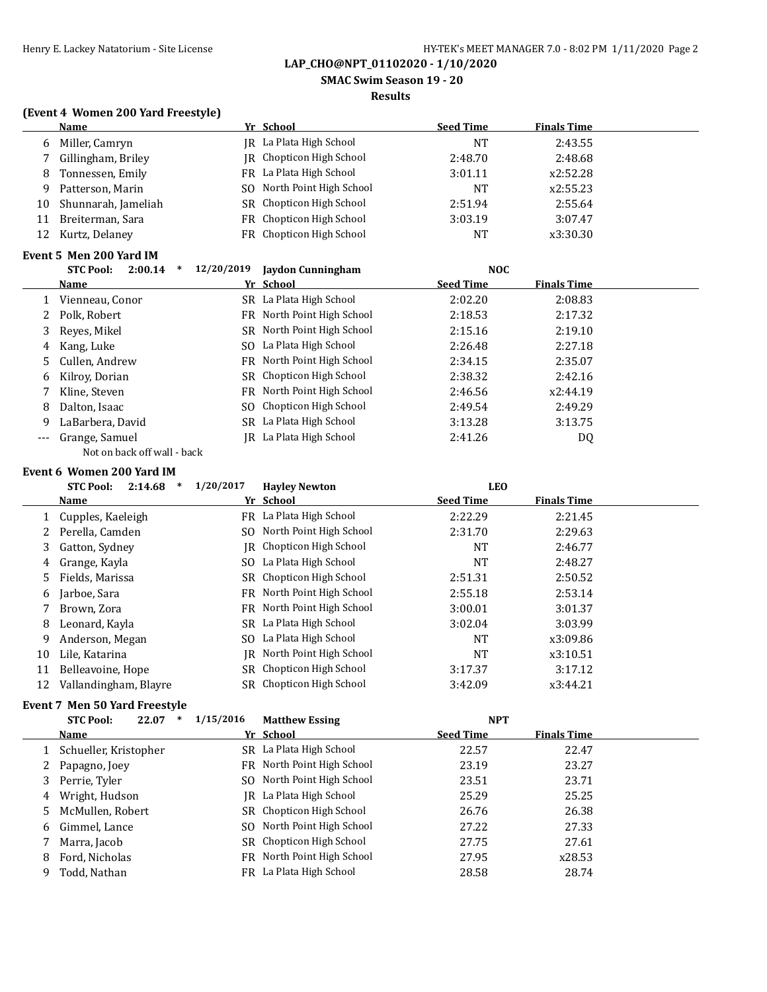**SMAC Swim Season 19 - 20**

### **Results**

### **(Event 4 Women 200 Yard Freestyle)**

|    | Name                | Yr School                  | <b>Seed Time</b> | <b>Finals Time</b> |  |
|----|---------------------|----------------------------|------------------|--------------------|--|
| 6  | Miller, Camryn      | IR La Plata High School    | NT               | 2:43.55            |  |
|    | Gillingham, Briley  | JR Chopticon High School   | 2:48.70          | 2:48.68            |  |
| 8  | Tonnessen, Emily    | FR La Plata High School    | 3:01.11          | x2:52.28           |  |
| 9  | Patterson, Marin    | SO North Point High School | NT               | x2:55.23           |  |
| 10 | Shunnarah, Jameliah | SR Chopticon High School   | 2:51.94          | 2:55.64            |  |
| 11 | Breiterman, Sara    | FR Chopticon High School   | 3:03.19          | 3:07.47            |  |
| 12 | Kurtz, Delanev      | FR Chopticon High School   | <b>NT</b>        | x3:30.30           |  |
|    |                     |                            |                  |                    |  |

### **Event 5 Men 200 Yard IM**

| <b>STC Pool:</b><br>2:00.14 | 12/20/2019                                                           | Jaydon Cunningham | <b>NOC</b>                                                                                                                                                                                                                                                                                            |                    |  |
|-----------------------------|----------------------------------------------------------------------|-------------------|-------------------------------------------------------------------------------------------------------------------------------------------------------------------------------------------------------------------------------------------------------------------------------------------------------|--------------------|--|
| Name                        |                                                                      |                   | <b>Seed Time</b>                                                                                                                                                                                                                                                                                      | <b>Finals Time</b> |  |
| Vienneau, Conor             |                                                                      |                   | 2:02.20                                                                                                                                                                                                                                                                                               | 2:08.83            |  |
|                             |                                                                      |                   | 2:18.53                                                                                                                                                                                                                                                                                               | 2:17.32            |  |
|                             |                                                                      |                   | 2:15.16                                                                                                                                                                                                                                                                                               | 2:19.10            |  |
|                             |                                                                      |                   | 2:26.48                                                                                                                                                                                                                                                                                               | 2:27.18            |  |
|                             |                                                                      |                   | 2:34.15                                                                                                                                                                                                                                                                                               | 2:35.07            |  |
| Kilroy, Dorian              |                                                                      |                   | 2:38.32                                                                                                                                                                                                                                                                                               | 2:42.16            |  |
| Kline, Steven               |                                                                      |                   | 2:46.56                                                                                                                                                                                                                                                                                               | x2:44.19           |  |
| Dalton, Isaac               |                                                                      |                   | 2:49.54                                                                                                                                                                                                                                                                                               | 2:49.29            |  |
| LaBarbera, David            |                                                                      |                   | 3:13.28                                                                                                                                                                                                                                                                                               | 3:13.75            |  |
| Grange, Samuel              |                                                                      |                   | 2:41.26                                                                                                                                                                                                                                                                                               | DQ                 |  |
|                             | 2 Polk, Robert<br>3 Reyes, Mikel<br>4 Kang, Luke<br>5 Cullen, Andrew |                   | Yr School<br>SR La Plata High School<br>FR North Point High School<br>SR North Point High School<br>SO La Plata High School<br>FR North Point High School<br>SR Chopticon High School<br>FR North Point High School<br>SO Chopticon High School<br>SR La Plata High School<br>IR La Plata High School |                    |  |

#### Not on back off wall - back

#### **Event 6 Women 200 Yard IM**

|    | <b>STC Pool:</b><br>2:14.68<br>$\ast$ | 1/20/2017 | <b>Havley Newton</b>       | <b>LEO</b>       |                    |  |
|----|---------------------------------------|-----------|----------------------------|------------------|--------------------|--|
|    | <b>Name</b>                           |           | Yr School                  | <b>Seed Time</b> | <b>Finals Time</b> |  |
|    | Cupples, Kaeleigh                     |           | FR La Plata High School    | 2:22.29          | 2:21.45            |  |
|    | Perella, Camden                       |           | SO North Point High School | 2:31.70          | 2:29.63            |  |
| 3  | Gatton, Sydney                        |           | JR Chopticon High School   | <b>NT</b>        | 2:46.77            |  |
| 4  | Grange, Kayla                         |           | SO La Plata High School    | NT               | 2:48.27            |  |
| 5. | Fields, Marissa                       | SR        | Chopticon High School      | 2:51.31          | 2:50.52            |  |
| 6  | Jarboe, Sara                          |           | FR North Point High School | 2:55.18          | 2:53.14            |  |
|    | Brown, Zora                           |           | FR North Point High School | 3:00.01          | 3:01.37            |  |
| 8  | Leonard, Kayla                        |           | SR La Plata High School    | 3:02.04          | 3:03.99            |  |
| 9  | Anderson, Megan                       |           | SO La Plata High School    | NT               | x3:09.86           |  |
| 10 | Lile, Katarina                        | IR        | North Point High School    | NT               | x3:10.51           |  |
| 11 | Belleavoine, Hope                     | SR.       | Chopticon High School      | 3:17.37          | 3:17.12            |  |
| 12 | Vallandingham, Blayre                 | SR        | Chopticon High School      | 3:42.09          | x3:44.21           |  |

# **Event 7 Men 50 Yard Freestyle**

|   | vent / Men 50 rafu Freestvie   |           |                            |                  |                    |  |  |
|---|--------------------------------|-----------|----------------------------|------------------|--------------------|--|--|
|   | <b>STC Pool:</b><br>22.07<br>* | 1/15/2016 | <b>Matthew Essing</b>      | <b>NPT</b>       |                    |  |  |
|   | Name                           |           | Yr School                  | <b>Seed Time</b> | <b>Finals Time</b> |  |  |
|   | Schueller, Kristopher          |           | SR La Plata High School    | 22.57            | 22.47              |  |  |
| 2 | Papagno, Joey                  |           | FR North Point High School | 23.19            | 23.27              |  |  |
| 3 | Perrie, Tyler                  |           | SO North Point High School | 23.51            | 23.71              |  |  |
| 4 | Wright, Hudson                 |           | IR La Plata High School    | 25.29            | 25.25              |  |  |
|   | 5 McMullen, Robert             |           | SR Chopticon High School   | 26.76            | 26.38              |  |  |
|   | 6 Gimmel, Lance                |           | SO North Point High School | 27.22            | 27.33              |  |  |
|   | Marra, Jacob                   |           | SR Chopticon High School   | 27.75            | 27.61              |  |  |
| 8 | Ford, Nicholas                 |           | FR North Point High School | 27.95            | x28.53             |  |  |
| q | Todd, Nathan                   |           | FR La Plata High School    | 28.58            | 28.74              |  |  |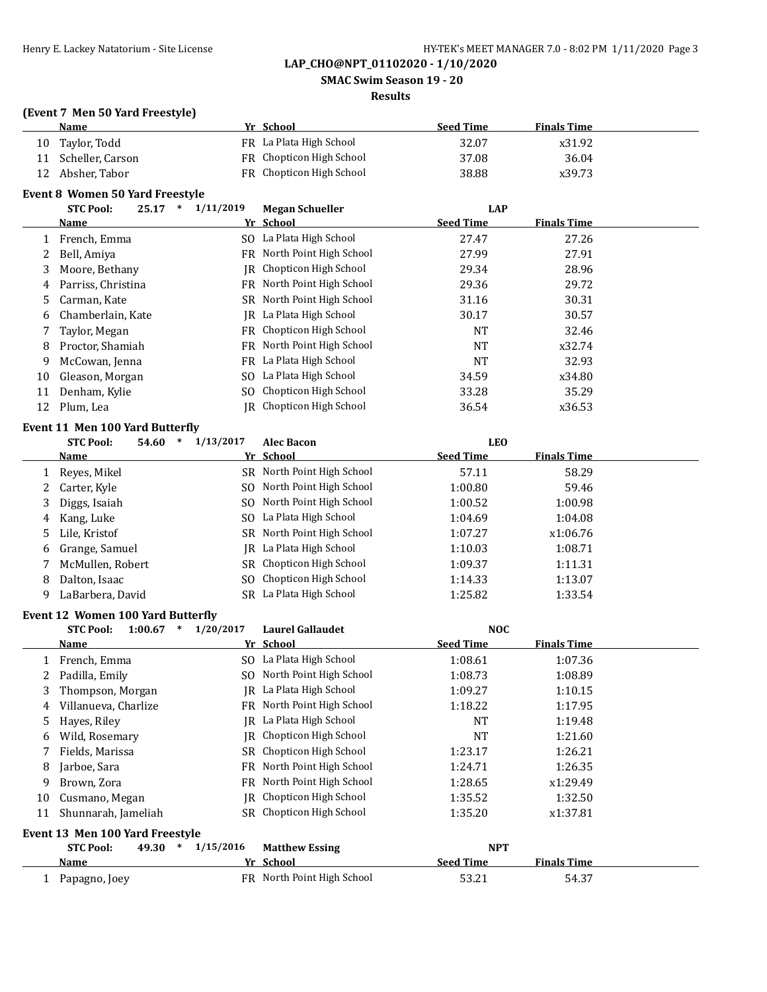**SMAC Swim Season 19 - 20**

#### **Results**

#### **(Event 7 Men 50 Yard Freestyle)**

|    | Name             | Yr School                | <b>Seed Time</b> | <b>Finals Time</b> |
|----|------------------|--------------------------|------------------|--------------------|
| 10 | Taylor, Todd     | FR La Plata High School  | 32.07            | x31.92             |
| 11 | Scheller, Carson | FR Chopticon High School | 37.08            | 36.04              |
| 12 | Absher, Tabor    | FR Chopticon High School | 38.88            | x39.73             |

### **Event 8 Women 50 Yard Freestyle**

|    | <b>STC Pool:</b><br>25.17<br>$\ast$ | 1/11/2019 | <b>Megan Schueller</b>          | <b>LAP</b>       |                    |  |
|----|-------------------------------------|-----------|---------------------------------|------------------|--------------------|--|
|    | <b>Name</b>                         |           | Yr School                       | <b>Seed Time</b> | <b>Finals Time</b> |  |
|    | French, Emma                        |           | SO La Plata High School         | 27.47            | 27.26              |  |
|    | Bell, Amiya                         |           | FR North Point High School      | 27.99            | 27.91              |  |
| 3. | Moore, Bethany                      |           | IR Chopticon High School        | 29.34            | 28.96              |  |
| 4  | Parriss, Christina                  |           | FR North Point High School      | 29.36            | 29.72              |  |
| 5. | Carman, Kate                        |           | SR North Point High School      | 31.16            | 30.31              |  |
| 6  | Chamberlain, Kate                   | IR        | La Plata High School            | 30.17            | 30.57              |  |
|    | Taylor, Megan                       |           | FR Chopticon High School        | <b>NT</b>        | 32.46              |  |
| 8  | Proctor, Shamiah                    |           | FR North Point High School      | <b>NT</b>        | x32.74             |  |
| 9  | McCowan, Jenna                      |           | FR La Plata High School         | <b>NT</b>        | 32.93              |  |
| 10 | Gleason, Morgan                     | SO.       | La Plata High School            | 34.59            | x34.80             |  |
| 11 | Denham, Kylie                       |           | SO Chopticon High School        | 33.28            | 35.29              |  |
| 12 | Plum, Lea                           |           | <b>IR</b> Chopticon High School | 36.54            | x36.53             |  |
|    | $\sim$ 44 54 400 55 56 56 $\sim$    |           |                                 |                  |                    |  |

#### **Event 11 Men 100 Yard Butterfly**

|   | <b>STC Pool:</b><br>54.60 | $\ast$ | 1/13/2017 | <b>Alec Bacon</b>          | <b>LEO</b>       |                    |  |
|---|---------------------------|--------|-----------|----------------------------|------------------|--------------------|--|
|   | Name                      |        |           | Yr School                  | <b>Seed Time</b> | <b>Finals Time</b> |  |
|   | Reyes, Mikel              |        |           | SR North Point High School | 57.11            | 58.29              |  |
|   | 2 Carter, Kyle            |        |           | SO North Point High School | 1:00.80          | 59.46              |  |
| 3 | Diggs, Isaiah             |        |           | SO North Point High School | 1:00.52          | 1:00.98            |  |
| 4 | Kang, Luke                |        |           | SO La Plata High School    | 1:04.69          | 1:04.08            |  |
|   | 5 Lile, Kristof           |        |           | SR North Point High School | 1:07.27          | x1:06.76           |  |
|   | 6 Grange, Samuel          |        |           | JR La Plata High School    | 1:10.03          | 1:08.71            |  |
|   | McMullen, Robert          |        |           | SR Chopticon High School   | 1:09.37          | 1:11.31            |  |
| 8 | Dalton, Isaac             |        |           | SO Chopticon High School   | 1:14.33          | 1:13.07            |  |
| 9 | LaBarbera, David          |        |           | SR La Plata High School    | 1:25.82          | 1:33.54            |  |

#### **Event 12 Women 100 Yard Butterfly**

|    | $\ast$<br><b>STC Pool:</b><br>1:00.67 | 1/20/2017 | <b>Laurel Gallaudet</b>    | <b>NOC</b>       |                    |  |
|----|---------------------------------------|-----------|----------------------------|------------------|--------------------|--|
|    | Name                                  |           | Yr School                  | <b>Seed Time</b> | <b>Finals Time</b> |  |
|    | French, Emma                          |           | SO La Plata High School    | 1:08.61          | 1:07.36            |  |
| 2  | Padilla, Emily                        | SO.       | North Point High School    | 1:08.73          | 1:08.89            |  |
| 3  | Thompson, Morgan                      | IR        | La Plata High School       | 1:09.27          | 1:10.15            |  |
| 4  | Villanueva, Charlize                  | FR.       | North Point High School    | 1:18.22          | 1:17.95            |  |
| 5  | Hayes, Riley                          | IR        | La Plata High School       | <b>NT</b>        | 1:19.48            |  |
| 6  | Wild, Rosemary                        | IR        | Chopticon High School      | NT               | 1:21.60            |  |
|    | Fields, Marissa                       | SR        | Chopticon High School      | 1:23.17          | 1:26.21            |  |
| 8  | Jarboe, Sara                          | FR        | North Point High School    | 1:24.71          | 1:26.35            |  |
| 9  | Brown, Zora                           | FR.       | North Point High School    | 1:28.65          | x1:29.49           |  |
| 10 | Cusmano, Megan                        | IR        | Chopticon High School      | 1:35.52          | 1:32.50            |  |
| 11 | Shunnarah, Jameliah                   | SR.       | Chopticon High School      | 1:35.20          | x1:37.81           |  |
|    | Event 13 Men 100 Yard Freestvle       |           |                            |                  |                    |  |
|    | <b>STC Pool:</b><br>49.30<br>$\ast$   | 1/15/2016 | <b>Matthew Essing</b>      | <b>NPT</b>       |                    |  |
|    | Name                                  |           | Yr School                  | <b>Seed Time</b> | <b>Finals Time</b> |  |
|    | Papagno, Joey                         |           | FR North Point High School | 53.21            | 54.37              |  |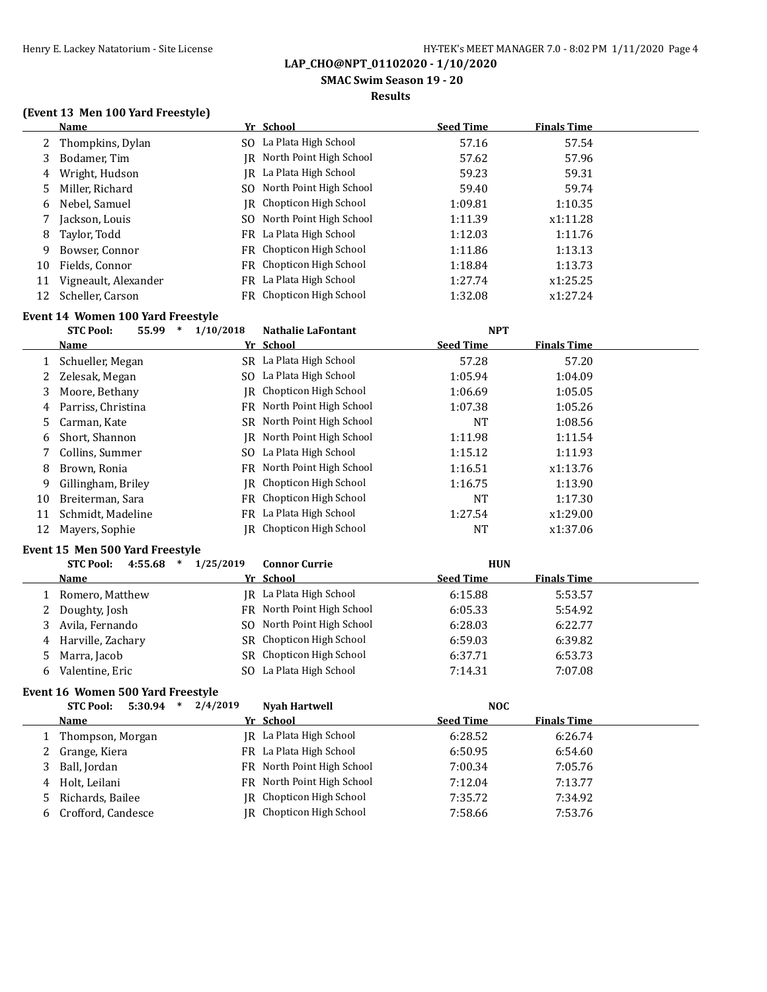**SMAC Swim Season 19 - 20**

#### **Results**

### **(Event 13 Men 100 Yard Freestyle)**

|    | Name                 |     | Yr School                       | <b>Seed Time</b> | <b>Finals Time</b> |  |
|----|----------------------|-----|---------------------------------|------------------|--------------------|--|
|    | 2 Thompkins, Dylan   |     | SO La Plata High School         | 57.16            | 57.54              |  |
| 3  | Bodamer, Tim         |     | IR North Point High School      | 57.62            | 57.96              |  |
| 4  | Wright, Hudson       |     | IR La Plata High School         | 59.23            | 59.31              |  |
|    | 5 Miller, Richard    | SO. | North Point High School         | 59.40            | 59.74              |  |
| 6  | Nebel, Samuel        |     | <b>IR</b> Chopticon High School | 1:09.81          | 1:10.35            |  |
|    | Jackson, Louis       |     | SO North Point High School      | 1:11.39          | x1:11.28           |  |
| 8  | Taylor, Todd         |     | FR La Plata High School         | 1:12.03          | 1:11.76            |  |
| 9  | Bowser, Connor       |     | FR Chopticon High School        | 1:11.86          | 1:13.13            |  |
| 10 | Fields, Connor       |     | FR Chopticon High School        | 1:18.84          | 1:13.73            |  |
| 11 | Vigneault, Alexander |     | FR La Plata High School         | 1:27.74          | x1:25.25           |  |
| 12 | Scheller, Carson     |     | FR Chopticon High School        | 1:32.08          | x1:27.24           |  |

# **Event 14 Women 100 Yard Freestyle**

|    | 55.99<br><b>STC Pool:</b><br>$\ast$ | 1/10/2018<br><b>Nathalie LaFontant</b> | <b>NPT</b>                             |  |
|----|-------------------------------------|----------------------------------------|----------------------------------------|--|
|    | Name                                | Yr School                              | <b>Seed Time</b><br><b>Finals Time</b> |  |
|    | Schueller, Megan                    | La Plata High School<br>SR             | 57.20<br>57.28                         |  |
|    | Zelesak, Megan                      | La Plata High School<br>SO.            | 1:05.94<br>1:04.09                     |  |
| 3  | Moore, Bethany                      | JR Chopticon High School               | 1:05.05<br>1:06.69                     |  |
| 4  | Parriss, Christina                  | North Point High School<br>FR.         | 1:07.38<br>1:05.26                     |  |
| 5. | Carman, Kate                        | SR North Point High School             | 1:08.56<br>NT                          |  |
| 6  | Short, Shannon                      | IR North Point High School             | 1:11.98<br>1:11.54                     |  |
|    | Collins, Summer                     | La Plata High School<br>SO.            | 1:11.93<br>1:15.12                     |  |
| 8  | Brown, Ronia                        | North Point High School<br>FR.         | 1:16.51<br>x1:13.76                    |  |
| 9  | Gillingham, Briley                  | Chopticon High School<br>IR            | 1:13.90<br>1:16.75                     |  |
| 10 | Breiterman, Sara                    | <b>FR</b> Chopticon High School        | <b>NT</b><br>1:17.30                   |  |
| 11 | Schmidt, Madeline                   | La Plata High School<br>FR             | 1:27.54<br>x1:29.00                    |  |
| 12 | Mayers, Sophie                      | Chopticon High School<br>IR-           | NT<br>x1:37.06                         |  |

#### **Event 15 Men 500 Yard Freestyle**

|    | 4:55.68<br><b>STC Pool:</b><br>$\ast$ | 1/25/2019 | <b>Connor Currie</b>       | <b>HUN</b>       |                    |
|----|---------------------------------------|-----------|----------------------------|------------------|--------------------|
|    | Name                                  |           | Yr School                  | <b>Seed Time</b> | <b>Finals Time</b> |
|    | 1 Romero, Matthew                     |           | JR La Plata High School    | 6:15.88          | 5:53.57            |
|    | 2 Doughty, Josh                       |           | FR North Point High School | 6:05.33          | 5:54.92            |
|    | 3 Avila, Fernando                     |           | SO North Point High School | 6:28.03          | 6:22.77            |
|    | 4 Harville, Zachary                   |           | SR Chopticon High School   | 6:59.03          | 6:39.82            |
|    | 5 Marra, Jacob                        |           | SR Chopticon High School   | 6:37.71          | 6:53.73            |
| h. | Valentine, Eric                       |           | SO La Plata High School    | 7:14.31          | 7:07.08            |

#### **Event 16 Women 500 Yard Freestyle**

| 5:30.94<br><b>STC Pool:</b><br>∗ | 2/4/2019 | <b>Nyah Hartwell</b>            | <b>NOC</b>       |                    |
|----------------------------------|----------|---------------------------------|------------------|--------------------|
| Name                             |          | Yr School                       | <b>Seed Time</b> | <b>Finals Time</b> |
| Thompson, Morgan                 |          | JR La Plata High School         | 6:28.52          | 6:26.74            |
| 2 Grange, Kiera                  |          | FR La Plata High School         | 6:50.95          | 6:54.60            |
| 3 Ball, Jordan                   |          | FR North Point High School      | 7:00.34          | 7:05.76            |
| 4 Holt, Leilani                  |          | FR North Point High School      | 7:12.04          | 7:13.77            |
| 5 Richards, Bailee               |          | <b>IR</b> Chopticon High School | 7:35.72          | 7:34.92            |
| Crofford, Candesce               |          | <b>IR</b> Chopticon High School | 7:58.66          | 7:53.76            |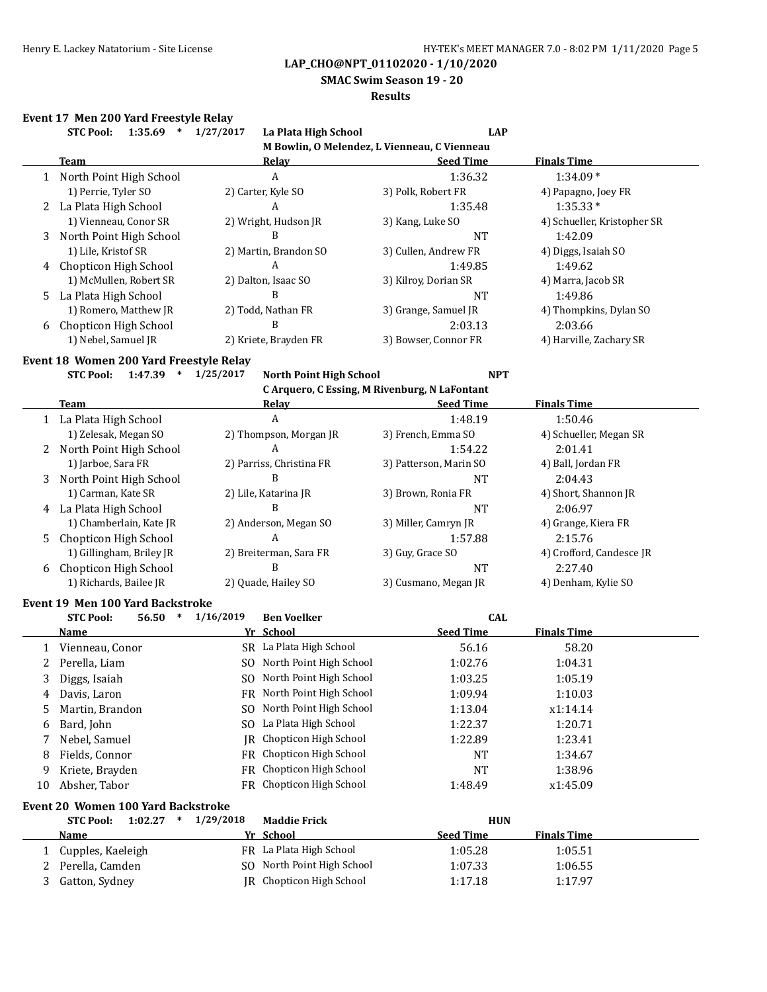**SMAC Swim Season 19 - 20**

#### **Results**

### **Event 17 Men 200 Yard Freestyle Relay**

|              | <b>STC Pool:</b><br>$1:35.69$ *                                                | 1/27/2017<br>La Plata High School           | <b>LAP</b>                                    |                             |
|--------------|--------------------------------------------------------------------------------|---------------------------------------------|-----------------------------------------------|-----------------------------|
|              |                                                                                |                                             | M Bowlin, O Melendez, L Vienneau, C Vienneau  |                             |
|              | <b>Team</b>                                                                    | <b>Relay</b>                                | <b>Seed Time</b>                              | <b>Finals Time</b>          |
| $\mathbf{1}$ | North Point High School                                                        | $\boldsymbol{A}$                            | 1:36.32                                       | $1:34.09*$                  |
|              | 1) Perrie, Tyler SO                                                            | 2) Carter, Kyle SO                          | 3) Polk, Robert FR                            | 4) Papagno, Joey FR         |
| 2            | La Plata High School                                                           | A                                           | 1:35.48                                       | $1:35.33*$                  |
|              | 1) Vienneau, Conor SR                                                          | 2) Wright, Hudson JR                        | 3) Kang, Luke SO                              | 4) Schueller, Kristopher SR |
| 3            | North Point High School                                                        | B                                           | <b>NT</b>                                     | 1:42.09                     |
|              | 1) Lile, Kristof SR                                                            | 2) Martin, Brandon SO                       | 3) Cullen, Andrew FR                          | 4) Diggs, Isaiah SO         |
| 4            | Chopticon High School                                                          | A                                           | 1:49.85                                       | 1:49.62                     |
|              | 1) McMullen, Robert SR                                                         | 2) Dalton, Isaac SO                         | 3) Kilroy, Dorian SR                          | 4) Marra, Jacob SR          |
| 5.           | La Plata High School                                                           | B                                           | <b>NT</b>                                     | 1:49.86                     |
|              | 1) Romero, Matthew JR                                                          | 2) Todd, Nathan FR                          | 3) Grange, Samuel JR                          | 4) Thompkins, Dylan SO      |
| 6            | Chopticon High School                                                          | B                                           | 2:03.13                                       | 2:03.66                     |
|              | 1) Nebel, Samuel JR                                                            | 2) Kriete, Brayden FR                       | 3) Bowser, Connor FR                          | 4) Harville, Zachary SR     |
|              | Event 18 Women 200 Yard Freestyle Relay                                        |                                             |                                               |                             |
|              | <b>STC Pool:</b><br>$1:47.39$ *                                                | 1/25/2017<br><b>North Point High School</b> | <b>NPT</b>                                    |                             |
|              |                                                                                |                                             | C Arquero, C Essing, M Rivenburg, N LaFontant |                             |
|              | Team                                                                           | <b>Relay</b>                                | <b>Seed Time</b>                              | <b>Finals Time</b>          |
|              | 1 La Plata High School                                                         | A                                           | 1:48.19                                       | 1:50.46                     |
|              | 1) Zelesak, Megan SO                                                           | 2) Thompson, Morgan JR                      | 3) French, Emma SO                            | 4) Schueller, Megan SR      |
| 2            | North Point High School                                                        | A                                           | 1:54.22                                       | 2:01.41                     |
|              | 1) Jarboe, Sara FR                                                             | 2) Parriss, Christina FR                    | 3) Patterson, Marin SO                        | 4) Ball, Jordan FR          |
| 3            | North Point High School                                                        | B                                           | <b>NT</b>                                     | 2:04.43                     |
|              | 1) Carman, Kate SR                                                             | 2) Lile, Katarina JR                        | 3) Brown, Ronia FR                            | 4) Short, Shannon JR        |
| 4            | La Plata High School                                                           | B                                           | <b>NT</b>                                     | 2:06.97                     |
|              | 1) Chamberlain, Kate JR                                                        | 2) Anderson, Megan SO                       | 3) Miller, Camryn JR                          | 4) Grange, Kiera FR         |
| 5            | Chopticon High School                                                          | A                                           | 1:57.88                                       | 2:15.76                     |
|              | 1) Gillingham, Briley JR                                                       | 2) Breiterman, Sara FR                      | 3) Guy, Grace SO                              | 4) Crofford, Candesce JR    |
| 6            | Chopticon High School                                                          | B                                           | <b>NT</b>                                     | 2:27.40                     |
|              | 1) Richards, Bailee JR                                                         | 2) Quade, Hailey SO                         | 3) Cusmano, Megan JR                          | 4) Denham, Kylie SO         |
|              |                                                                                |                                             |                                               |                             |
|              | <b>Event 19 Men 100 Yard Backstroke</b><br><b>STC Pool:</b><br>56.50<br>$\ast$ | 1/16/2019<br><b>Ben Voelker</b>             | <b>CAL</b>                                    |                             |
|              | Name                                                                           | Yr School                                   | <b>Seed Time</b>                              | <b>Finals Time</b>          |
|              | Vienneau, Conor                                                                | SR La Plata High School                     | 56.16                                         | 58.20                       |
| 1<br>2       | Perella, Liam                                                                  | SO North Point High School                  | 1:02.76                                       | 1:04.31                     |
| 3            |                                                                                | SO North Point High School                  | 1:03.25                                       | 1:05.19                     |
|              | Diggs, Isaiah                                                                  | FR North Point High School                  |                                               |                             |
| 4            | Davis, Laron                                                                   |                                             | 1:09.94                                       | 1:10.03                     |
| 5            | Martin, Brandon                                                                | North Point High School<br>SO.              | 1:13.04                                       | x1:14.14                    |
| 6            | Bard, John                                                                     | La Plata High School<br>SO.                 | 1:22.37                                       | 1:20.71                     |
| 7            | Nebel, Samuel                                                                  | Chopticon High School<br>IR                 | 1:22.89                                       | 1:23.41                     |
| 8            | Fields, Connor                                                                 | Chopticon High School<br>FR                 | NT                                            | 1:34.67                     |
| 9            | Kriete, Brayden                                                                | FR Chopticon High School                    | <b>NT</b>                                     | 1:38.96                     |
| 10           | Absher, Tabor                                                                  | FR Chopticon High School                    | 1:48.49                                       | x1:45.09                    |
|              | <b>Event 20 Women 100 Yard Backstroke</b>                                      |                                             |                                               |                             |
|              | <b>STC Pool:</b><br>1:02.27<br>$\ast$                                          | 1/29/2018<br><b>Maddie Frick</b>            | <b>HUN</b>                                    |                             |
|              | <u>Name</u>                                                                    | Yr School                                   | <b>Seed Time</b>                              | <b>Finals Time</b>          |
| 1            | Cupples, Kaeleigh                                                              | FR La Plata High School                     | 1:05.28                                       | 1:05.51                     |
| 2            | Perella, Camden                                                                | SO North Point High School                  | 1:07.33                                       | 1:06.55                     |
| 3            | Gatton, Sydney                                                                 | JR Chopticon High School                    | 1:17.18                                       | 1:17.97                     |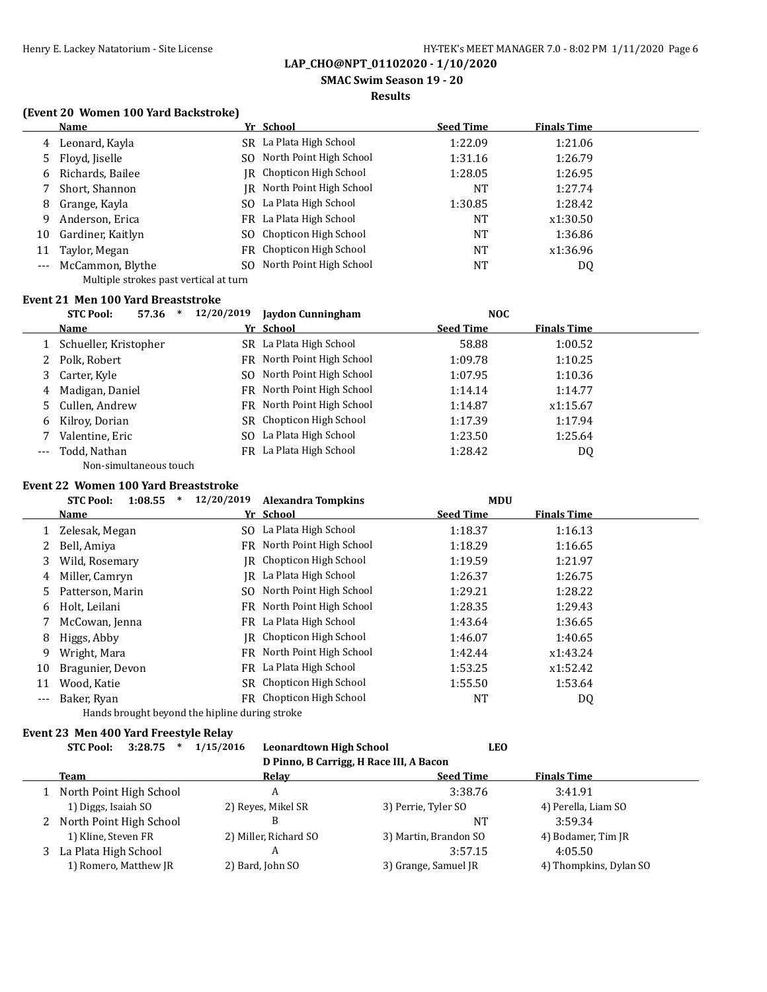**SMAC Swim Season 19 - 20**

#### **Results**

### **(Event 20 Women 100 Yard Backstroke)**

|                     | <b>Name</b>                            |     | Yr School                | <b>Seed Time</b> | <b>Finals Time</b> |  |
|---------------------|----------------------------------------|-----|--------------------------|------------------|--------------------|--|
| 4                   | Leonard, Kayla                         |     | SR La Plata High School  | 1:22.09          | 1:21.06            |  |
| 5.                  | Floyd, Jiselle                         | SO. | North Point High School  | 1:31.16          | 1:26.79            |  |
| 6                   | Richards, Bailee                       |     | IR Chopticon High School | 1:28.05          | 1:26.95            |  |
|                     | Short, Shannon                         | IR  | North Point High School  | <b>NT</b>        | 1:27.74            |  |
| 8                   | Grange, Kayla                          |     | SO La Plata High School  | 1:30.85          | 1:28.42            |  |
| 9                   | Anderson, Erica                        |     | FR La Plata High School  | NT               | x1:30.50           |  |
| 10                  | Gardiner, Kaitlyn                      |     | SO Chopticon High School | NT               | 1:36.86            |  |
| 11                  | Taylor, Megan                          |     | FR Chopticon High School | NT               | x1:36.96           |  |
| $\qquad \qquad - -$ | McCammon, Blythe                       | SO. | North Point High School  | NT               | DQ                 |  |
|                     | Multiple strokes past vertical at turn |     |                          |                  |                    |  |

# **Event 21 Men 100 Yard Breaststroke**

|       | <b>STC Pool:</b><br>57.36<br>∗ | 12/20/2019 | Jaydon Cunningham          | <b>NOC</b>       |                    |
|-------|--------------------------------|------------|----------------------------|------------------|--------------------|
|       | Name                           |            | Yr School                  | <b>Seed Time</b> | <b>Finals Time</b> |
|       | Schueller, Kristopher          | SR.        | La Plata High School       | 58.88            | 1:00.52            |
|       | Polk, Robert                   |            | FR North Point High School | 1:09.78          | 1:10.25            |
| 3     | Carter, Kyle                   | SO.        | North Point High School    | 1:07.95          | 1:10.36            |
| 4     | Madigan, Daniel                |            | FR North Point High School | 1:14.14          | 1:14.77            |
| 5.    | Cullen, Andrew                 |            | FR North Point High School | 1:14.87          | x1:15.67           |
| 6     | Kilroy, Dorian                 | SR.        | Chopticon High School      | 1:17.39          | 1:17.94            |
|       | Valentine, Eric                |            | SO La Plata High School    | 1:23.50          | 1:25.64            |
| $---$ | Todd, Nathan                   | FR         | La Plata High School       | 1:28.42          | DQ                 |
|       | Non-simultaneous touch         |            |                            |                  |                    |

#### **Event 22 Women 100 Yard Breaststroke**

|    | 1:08.55<br><b>STC Pool:</b>                    | 12/20/2019 | <b>Alexandra Tompkins</b>  | <b>MDU</b>       |                    |  |
|----|------------------------------------------------|------------|----------------------------|------------------|--------------------|--|
|    | Name                                           |            | Yr School                  | <b>Seed Time</b> | <b>Finals Time</b> |  |
|    | 1 Zelesak, Megan                               |            | SO La Plata High School    | 1:18.37          | 1:16.13            |  |
|    | Bell, Amiya                                    |            | FR North Point High School | 1:18.29          | 1:16.65            |  |
| 3  | Wild, Rosemary                                 |            | IR Chopticon High School   | 1:19.59          | 1:21.97            |  |
| 4  | Miller, Camryn                                 | IR         | La Plata High School       | 1:26.37          | 1:26.75            |  |
| 5. | Patterson, Marin                               | SO.        | North Point High School    | 1:29.21          | 1:28.22            |  |
| 6  | Holt, Leilani                                  |            | FR North Point High School | 1:28.35          | 1:29.43            |  |
|    | McCowan, Jenna                                 |            | FR La Plata High School    | 1:43.64          | 1:36.65            |  |
| 8  | Higgs, Abby                                    | IR         | Chopticon High School      | 1:46.07          | 1:40.65            |  |
| 9  | Wright, Mara                                   |            | FR North Point High School | 1:42.44          | x1:43.24           |  |
| 10 | Bragunier, Devon                               | FR -       | La Plata High School       | 1:53.25          | x1:52.42           |  |
| 11 | Wood, Katie                                    |            | SR Chopticon High School   | 1:55.50          | 1:53.64            |  |
|    | Baker, Ryan                                    |            | FR Chopticon High School   | NT               | DQ                 |  |
|    | Hands brought beyond the hipline during stroke |            |                            |                  |                    |  |

#### **Event 23 Men 400 Yard Freestyle Relay**

| 3:28.75<br><b>STC Pool:</b> | 1/15/2016<br><b>Leonardtown High School</b> | <b>LEO</b>                              |                        |
|-----------------------------|---------------------------------------------|-----------------------------------------|------------------------|
|                             |                                             | D Pinno, B Carrigg, H Race III, A Bacon |                        |
| Team                        | Relav                                       | <b>Seed Time</b>                        | <b>Finals Time</b>     |
| North Point High School     | A                                           | 3:38.76                                 | 3:41.91                |
| 1) Diggs, Isaiah SO         | 2) Reyes, Mikel SR                          | 3) Perrie, Tyler SO                     | 4) Perella, Liam SO    |
| North Point High School     | В                                           | NT                                      | 3:59.34                |
| 1) Kline, Steven FR         | 2) Miller, Richard SO                       | 3) Martin, Brandon SO                   | 4) Bodamer, Tim JR     |
| La Plata High School        | A                                           | 3:57.15                                 | 4:05.50                |
| 1) Romero, Matthew JR       | 2) Bard, John SO                            | 3) Grange, Samuel JR                    | 4) Thompkins, Dylan SO |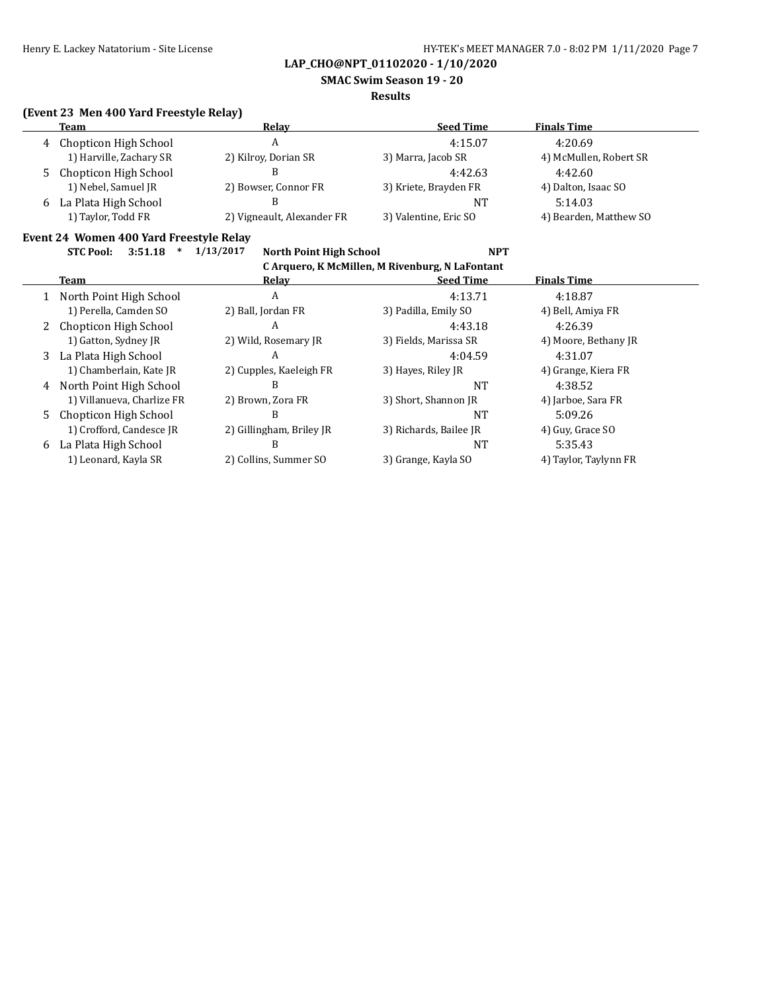**SMAC Swim Season 19 - 20**

#### **Results**

### **(Event 23 Men 400 Yard Freestyle Relay)**

| Team                    | Relav                      | <b>Seed Time</b>      | <b>Finals Time</b>     |
|-------------------------|----------------------------|-----------------------|------------------------|
| 4 Chopticon High School | A                          | 4:15.07               | 4:20.69                |
| 1) Harville, Zachary SR | 2) Kilroy, Dorian SR       | 3) Marra, Jacob SR    | 4) McMullen, Robert SR |
| 5 Chopticon High School |                            | 4:42.63               | 4:42.60                |
| 1) Nebel, Samuel JR     | 2) Bowser, Connor FR       | 3) Kriete, Brayden FR | 4) Dalton, Isaac SO    |
| 6 La Plata High School  |                            | NT                    | 5:14.03                |
| 1) Taylor, Todd FR      | 2) Vigneault, Alexander FR | 3) Valentine, Eric SO | 4) Bearden, Matthew SO |
|                         |                            |                       |                        |

## **Event 24 Women 400 Yard Freestyle Relay**

**STC Pool: 3:51.18 \* 1/13/2017 North Point High School NPT**

| C Arquero, K McMillen, M Rivenburg, N LaFontant |                            |                          |                        |                       |  |
|-------------------------------------------------|----------------------------|--------------------------|------------------------|-----------------------|--|
|                                                 | Team                       | Relay                    | <b>Seed Time</b>       | <b>Finals Time</b>    |  |
|                                                 | North Point High School    | A                        | 4:13.71                | 4:18.87               |  |
|                                                 | 1) Perella, Camden SO      | 2) Ball, Jordan FR       | 3) Padilla, Emily SO   | 4) Bell, Amiya FR     |  |
|                                                 | 2 Chopticon High School    | A                        | 4:43.18                | 4:26.39               |  |
|                                                 | 1) Gatton, Sydney JR       | 2) Wild, Rosemary JR     | 3) Fields, Marissa SR  | 4) Moore, Bethany JR  |  |
|                                                 | 3 La Plata High School     | A                        | 4:04.59                | 4:31.07               |  |
|                                                 | 1) Chamberlain, Kate JR    | 2) Cupples, Kaeleigh FR  | 3) Hayes, Riley JR     | 4) Grange, Kiera FR   |  |
| 4                                               | North Point High School    | B                        | <b>NT</b>              | 4:38.52               |  |
|                                                 | 1) Villanueva, Charlize FR | 2) Brown, Zora FR        | 3) Short, Shannon JR   | 4) Jarboe, Sara FR    |  |
| 5.                                              | Chopticon High School      | В                        | <b>NT</b>              | 5:09.26               |  |
|                                                 | 1) Crofford, Candesce JR   | 2) Gillingham, Briley JR | 3) Richards, Bailee JR | 4) Guy, Grace SO      |  |
| 6                                               | La Plata High School       | B                        | <b>NT</b>              | 5:35.43               |  |
|                                                 | 1) Leonard, Kayla SR       | 2) Collins, Summer SO    | 3) Grange, Kayla SO    | 4) Taylor, Taylynn FR |  |